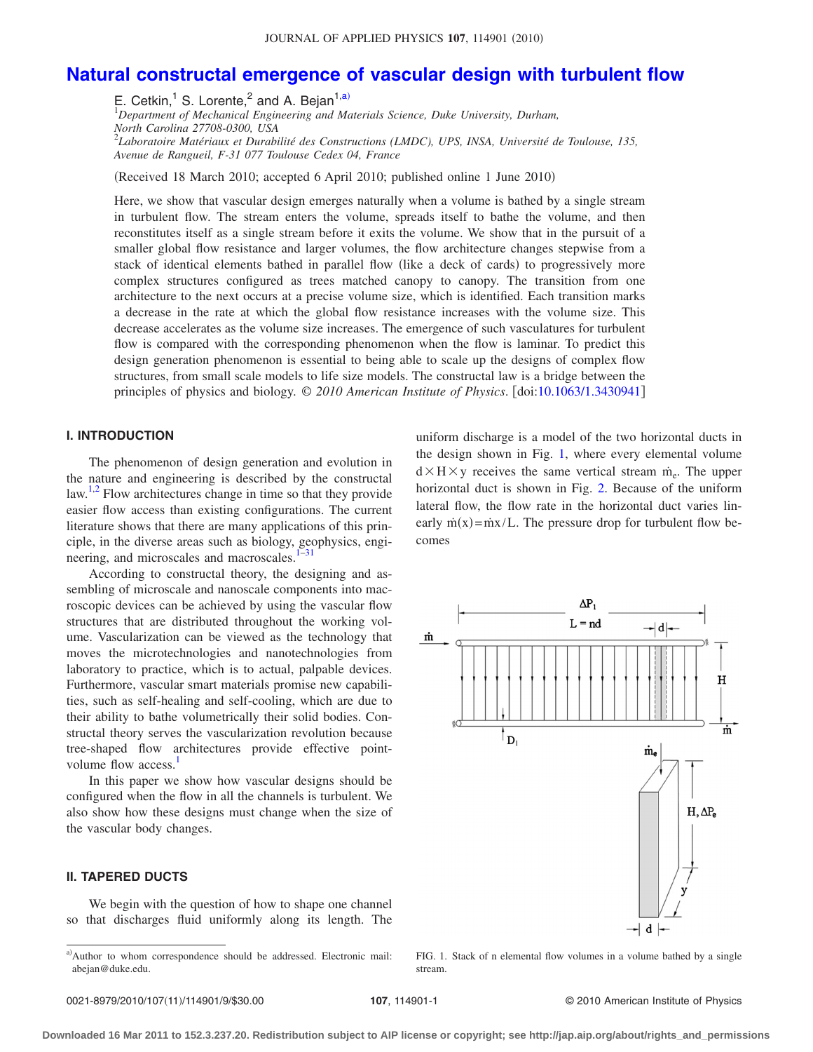# **[Natural constructal emergence of vascular design with turbulent flow](http://dx.doi.org/10.1063/1.3430941)**

E. Cetkin,<sup>1</sup> S. Lorente,<sup>2</sup> and A. Bejan<sup>1,a)</sup>

1 *Department of Mechanical Engineering and Materials Science, Duke University, Durham, North Carolina 27708-0300, USA* 2 *Laboratoire Matériaux et Durabilité des Constructions (LMDC), UPS, INSA, Université de Toulouse, 135, Avenue de Rangueil, F-31 077 Toulouse Cedex 04, France*

(Received 18 March 2010; accepted 6 April 2010; published online 1 June 2010)

Here, we show that vascular design emerges naturally when a volume is bathed by a single stream in turbulent flow. The stream enters the volume, spreads itself to bathe the volume, and then reconstitutes itself as a single stream before it exits the volume. We show that in the pursuit of a smaller global flow resistance and larger volumes, the flow architecture changes stepwise from a stack of identical elements bathed in parallel flow (like a deck of cards) to progressively more complex structures configured as trees matched canopy to canopy. The transition from one architecture to the next occurs at a precise volume size, which is identified. Each transition marks a decrease in the rate at which the global flow resistance increases with the volume size. This decrease accelerates as the volume size increases. The emergence of such vasculatures for turbulent flow is compared with the corresponding phenomenon when the flow is laminar. To predict this design generation phenomenon is essential to being able to scale up the designs of complex flow structures, from small scale models to life size models. The constructal law is a bridge between the principles of physics and biology. © *2010 American Institute of Physics*. doi[:10.1063/1.3430941](http://dx.doi.org/10.1063/1.3430941)

#### **I. INTRODUCTION**

The phenomenon of design generation and evolution in the nature and engineering is described by the constructal law.<sup>1,[2](#page-8-1)</sup> Flow architectures change in time so that they provide easier flow access than existing configurations. The current literature shows that there are many applications of this principle, in the diverse areas such as biology, geophysics, engi-neering, and microscales and macroscales.<sup>1[–31](#page-8-2)</sup>

According to constructal theory, the designing and assembling of microscale and nanoscale components into macroscopic devices can be achieved by using the vascular flow structures that are distributed throughout the working volume. Vascularization can be viewed as the technology that moves the microtechnologies and nanotechnologies from laboratory to practice, which is to actual, palpable devices. Furthermore, vascular smart materials promise new capabilities, such as self-healing and self-cooling, which are due to their ability to bathe volumetrically their solid bodies. Constructal theory serves the vascularization revolution because tree-shaped flow architectures provide effective pointvolume flow access.<sup>1</sup>

In this paper we show how vascular designs should be configured when the flow in all the channels is turbulent. We also show how these designs must change when the size of the vascular body changes.

## **II. TAPERED DUCTS**

We begin with the question of how to shape one channel so that discharges fluid uniformly along its length. The uniform discharge is a model of the two horizontal ducts in the design shown in Fig. [1,](#page-0-0) where every elemental volume  $d \times H \times y$  receives the same vertical stream m<sup> $\alpha$ </sup> e. The upper horizontal duct is shown in Fig. [2.](#page-1-0) Because of the uniform lateral flow, the flow rate in the horizontal duct varies linearly  $\dot{m}(x) = \dot{m}x/L$ . The pressure drop for turbulent flow becomes

<span id="page-0-0"></span>

FIG. 1. Stack of n elemental flow volumes in a volume bathed by a single stream.

a)Author to whom correspondence should be addressed. Electronic mail: abejan@duke.edu.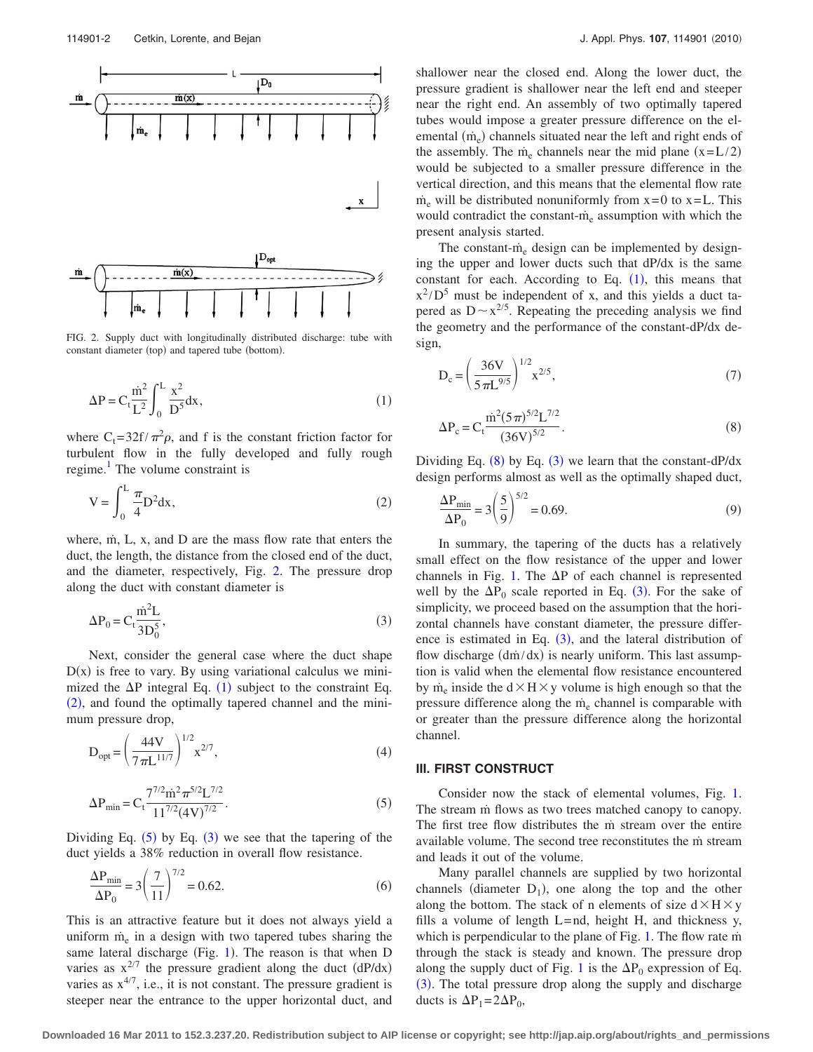<span id="page-1-0"></span>

FIG. 2. Supply duct with longitudinally distributed discharge: tube with constant diameter (top) and tapered tube (bottom).

<span id="page-1-1"></span>
$$
\Delta P = C_t \frac{\dot{m}^2}{L^2} \int_0^L \frac{x^2}{D^5} dx,
$$
\n(1)

where  $C_t = 32f/\pi^2 \rho$ , and f is the constant friction factor for turbulent flow in the fully developed and fully rough regime.<sup>1</sup> The volume constraint is

<span id="page-1-2"></span>
$$
V = \int_0^L \frac{\pi}{4} D^2 dx,
$$
\n(2)

where, m, L, x, and D are the mass flow rate that enters the duct, the length, the distance from the closed end of the duct, and the diameter, respectively, Fig. [2.](#page-1-0) The pressure drop along the duct with constant diameter is

<span id="page-1-4"></span>
$$
\Delta P_0 = C_t \frac{\dot{m}^2 L}{3D_0^5},\tag{3}
$$

Next, consider the general case where the duct shape  $D(x)$  is free to vary. By using variational calculus we minimized the  $\Delta P$  integral Eq. ([1](#page-1-1)) subject to the constraint Eq. ([2](#page-1-2)), and found the optimally tapered channel and the minimum pressure drop,

$$
D_{opt} = \left(\frac{44V}{7\pi L^{11/7}}\right)^{1/2} x^{2/7},\tag{4}
$$

<span id="page-1-3"></span>
$$
\Delta P_{\min} = C_t \frac{7^{7/2} \dot{m}^2 \pi^{5/2} L^{7/2}}{11^{7/2} (4V)^{7/2}}.
$$
\n(5)

Dividing Eq.  $(5)$  $(5)$  $(5)$  by Eq.  $(3)$  $(3)$  $(3)$  we see that the tapering of the duct yields a 38% reduction in overall flow resistance.

$$
\frac{\Delta P_{\min}}{\Delta P_0} = 3 \left( \frac{7}{11} \right)^{7/2} = 0.62.
$$
 (6)

This is an attractive feature but it does not always yield a uniform  $\dot{m}_e$  in a design with two tapered tubes sharing the same lateral discharge (Fig. [1](#page-0-0)). The reason is that when D varies as  $x^{2/7}$  the pressure gradient along the duct (dP/dx) varies as  $x^{4/7}$ , i.e., it is not constant. The pressure gradient is steeper near the entrance to the upper horizontal duct, and

shallower near the closed end. Along the lower duct, the pressure gradient is shallower near the left end and steeper near the right end. An assembly of two optimally tapered tubes would impose a greater pressure difference on the elemental (m<sup>\*</sup><sub>e</sub>) channels situated near the left and right ends of the assembly. The  $\dot{m}_e$  channels near the mid plane  $(x=L/2)$ would be subjected to a smaller pressure difference in the vertical direction, and this means that the elemental flow rate  $\dot{m}_e$  will be distributed nonuniformly from  $x=0$  to  $x=L$ . This would contradict the constant-m<sub>e</sub> assumption with which the present analysis started.

The constant-m<sub>e</sub> design can be implemented by designing the upper and lower ducts such that dP/dx is the same constant for each. According to Eq.  $(1)$  $(1)$  $(1)$ , this means that  $x^2/D^5$  must be independent of x, and this yields a duct tapered as  $D \sim x^{2/5}$ . Repeating the preceding analysis we find the geometry and the performance of the constant-dP/dx design,

$$
D_c = \left(\frac{36V}{5\pi L^{9/5}}\right)^{1/2} x^{2/5},\tag{7}
$$

<span id="page-1-5"></span>
$$
\Delta P_c = C_t \frac{m^2 (5\pi)^{5/2} L^{7/2}}{(36V)^{5/2}}.
$$
 (8)

Dividing Eq.  $(8)$  $(8)$  $(8)$  by Eq.  $(3)$  $(3)$  $(3)$  we learn that the constant-dP/dx design performs almost as well as the optimally shaped duct,

$$
\frac{\Delta P_{\min}}{\Delta P_0} = 3 \left( \frac{5}{9} \right)^{5/2} = 0.69. \tag{9}
$$

In summary, the tapering of the ducts has a relatively small effect on the flow resistance of the upper and lower channels in Fig. [1.](#page-0-0) The  $\Delta P$  of each channel is represented well by the  $\Delta P_0$  scale reported in Eq. ([3](#page-1-4)). For the sake of simplicity, we proceed based on the assumption that the horizontal channels have constant diameter, the pressure difference is estimated in Eq.  $(3)$  $(3)$  $(3)$ , and the lateral distribution of flow discharge (dm<sup>/</sup>dx) is nearly uniform. This last assumption is valid when the elemental flow resistance encountered by  $\dot{m}_e$  inside the  $d \times H \times y$  volume is high enough so that the pressure difference along the m<sub><sup>*e*</sub></sup> channel is comparable with</sub> or greater than the pressure difference along the horizontal channel.

## **III. FIRST CONSTRUCT**

Consider now the stack of elemental volumes, Fig. [1.](#page-0-0) The stream m<sup>i</sup> flows as two trees matched canopy to canopy. The first tree flow distributes the m*˙* stream over the entire available volume. The second tree reconstitutes the m*˙* stream and leads it out of the volume.

Many parallel channels are supplied by two horizontal channels (diameter  $D_1$ ), one along the top and the other along the bottom. The stack of n elements of size  $d \times H \times y$ fills a volume of length  $L=nd$ , height H, and thickness y, which is perpendicular to the plane of Fig. [1.](#page-0-0) The flow rate m<sup>i</sup> through the stack is steady and known. The pressure drop along the supply duct of Fig. [1](#page-0-0) is the  $\Delta P_0$  expression of Eq. ([3](#page-1-4)). The total pressure drop along the supply and discharge ducts is  $\Delta P_1 = 2\Delta P_0$ ,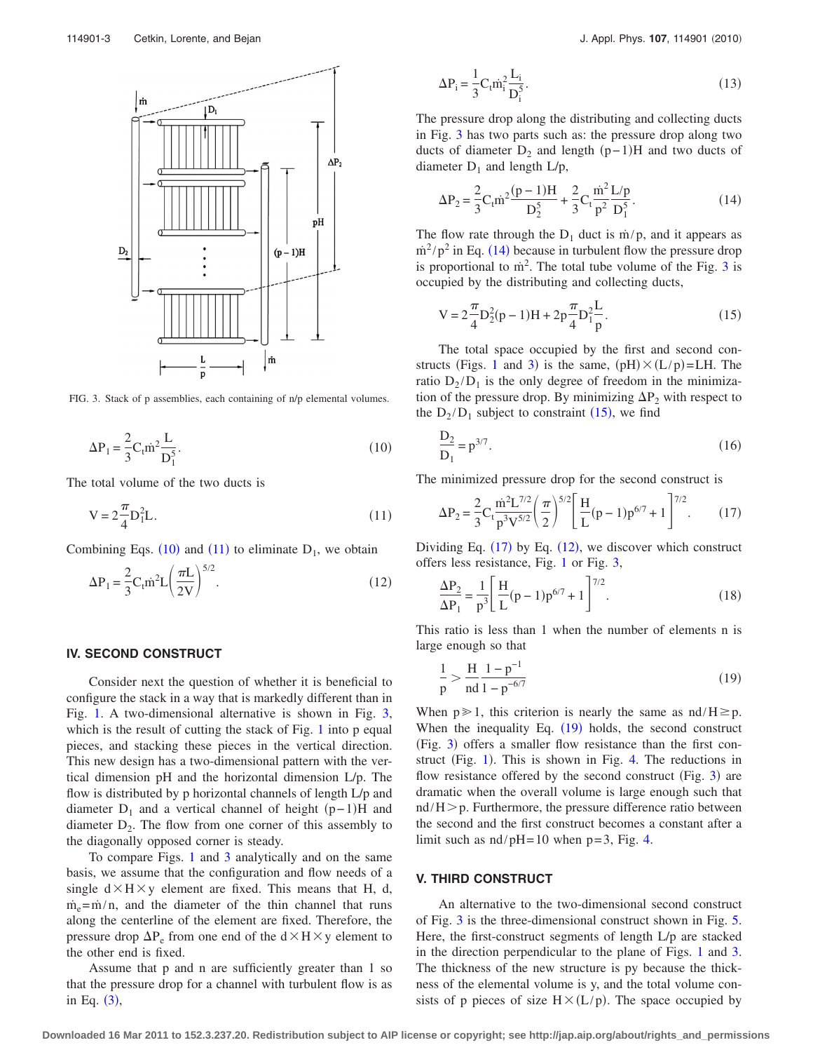<span id="page-2-2"></span>

FIG. 3. Stack of p assemblies, each containing of n/p elemental volumes.

<span id="page-2-0"></span>
$$
\Delta P_1 = \frac{2}{3} C_t m^2 \frac{L}{D_1^5}.
$$
\n(10)

<span id="page-2-1"></span>The total volume of the two ducts is

$$
V = 2\frac{\pi}{4}D_1^2L.
$$
 (11)

<span id="page-2-6"></span>Combining Eqs.  $(10)$  $(10)$  $(10)$  and  $(11)$  $(11)$  $(11)$  to eliminate  $D_1$ , we obtain

$$
\Delta P_1 = \frac{2}{3} C_t m^2 L \left(\frac{\pi L}{2V}\right)^{5/2}.
$$
 (12)

## **IV. SECOND CONSTRUCT**

Consider next the question of whether it is beneficial to configure the stack in a way that is markedly different than in Fig. [1.](#page-0-0) A two-dimensional alternative is shown in Fig. [3,](#page-2-2) which is the result of cutting the stack of Fig. [1](#page-0-0) into p equal pieces, and stacking these pieces in the vertical direction. This new design has a two-dimensional pattern with the vertical dimension pH and the horizontal dimension L/p. The flow is distributed by p horizontal channels of length L/p and diameter  $D_1$  and a vertical channel of height  $(p-1)H$  and diameter  $D_2$ . The flow from one corner of this assembly to the diagonally opposed corner is steady.

To compare Figs. [1](#page-0-0) and [3](#page-2-2) analytically and on the same basis, we assume that the configuration and flow needs of a single  $d \times H \times y$  element are fixed. This means that H, d,  $\dot{m}_e = \dot{m}/n$ , and the diameter of the thin channel that runs along the centerline of the element are fixed. Therefore, the pressure drop  $\Delta P_e$  from one end of the  $d \times H \times y$  element to the other end is fixed.

Assume that p and n are sufficiently greater than 1 so that the pressure drop for a channel with turbulent flow is as in Eq.  $(3)$  $(3)$  $(3)$ ,

$$
\Delta P_{i} = \frac{1}{3} C_{t} m_{i}^{2} \frac{L_{i}}{D_{i}^{5}}.
$$
\n(13)

The pressure drop along the distributing and collecting ducts in Fig. [3](#page-2-2) has two parts such as: the pressure drop along two ducts of diameter  $D_2$  and length  $(p-1)H$  and two ducts of diameter  $D_1$  and length  $L/p$ ,

<span id="page-2-3"></span>
$$
\Delta P_2 = \frac{2}{3} C_t m^2 \frac{(p-1)H}{D_2^5} + \frac{2}{3} C_t \frac{m^2}{p^2} \frac{L/p}{D_1^5}.
$$
 (14)

The flow rate through the  $D_1$  duct is m<sup>'</sup> $p$ , and it appears as  $\dot{m}^2$ / $p^2$  in Eq. ([14](#page-2-3)) because in turbulent flow the pressure drop is proportional to  $\dot{m}^2$ . The total tube volume of the Fig. [3](#page-2-2) is occupied by the distributing and collecting ducts,

<span id="page-2-4"></span>
$$
V = 2\frac{\pi}{4}D_2^2(p-1)H + 2p\frac{\pi}{4}D_1^2\frac{L}{p}.
$$
 (15)

The total space occupied by the first and second con-structs (Figs. [1](#page-0-0) and [3](#page-2-2)) is the same,  $(pH) \times (L/p) = LH$ . The ratio  $D_2/D_1$  is the only degree of freedom in the minimization of the pressure drop. By minimizing  $\Delta P_2$  with respect to the  $D_2/D_1$  subject to constraint ([15](#page-2-4)), we find

$$
\frac{D_2}{D_1} = p^{3/7}.
$$
 (16)

<span id="page-2-5"></span>The minimized pressure drop for the second construct is

$$
\Delta P_2 = \frac{2}{3} C_t \frac{\dot{m}^2 L^{7/2}}{p^3 V^{5/2}} \left(\frac{\pi}{2}\right)^{5/2} \left[\frac{H}{L}(p-1)p^{6/7} + 1\right]^{7/2}.
$$
 (17)

Dividing Eq.  $(17)$  $(17)$  $(17)$  by Eq.  $(12)$  $(12)$  $(12)$ , we discover which construct offers less resistance, Fig. [1](#page-0-0) or Fig. [3,](#page-2-2)

$$
\frac{\Delta P_2}{\Delta P_1} = \frac{1}{p^3} \left[ \frac{H}{L} (p - 1) p^{6/7} + 1 \right]^{7/2}.
$$
 (18)

This ratio is less than 1 when the number of elements n is large enough so that

<span id="page-2-7"></span>
$$
\frac{1}{p} > \frac{H}{nd} \frac{1 - p^{-1}}{1 - p^{-6/7}}
$$
\n(19)

When  $p \geq 1$ , this criterion is nearly the same as  $nd/H \geq p$ . When the inequality Eq.  $(19)$  $(19)$  $(19)$  holds, the second construct  $(Fig. 3)$  $(Fig. 3)$  $(Fig. 3)$  offers a smaller flow resistance than the first con-struct (Fig. [1](#page-0-0)). This is shown in Fig. [4.](#page-3-0) The reductions in flow resistance offered by the second construct (Fig.  $3$ ) are dramatic when the overall volume is large enough such that  $nd/H$   $> p$ . Furthermore, the pressure difference ratio between the second and the first construct becomes a constant after a limit such as  $nd/pH = 10$  when  $p=3$ , Fig. [4.](#page-3-0)

## **V. THIRD CONSTRUCT**

An alternative to the two-dimensional second construct of Fig. [3](#page-2-2) is the three-dimensional construct shown in Fig. [5.](#page-3-1) Here, the first-construct segments of length L/p are stacked in the direction perpendicular to the plane of Figs. [1](#page-0-0) and [3.](#page-2-2) The thickness of the new structure is py because the thickness of the elemental volume is y, and the total volume consists of p pieces of size  $H \times (L/p)$ . The space occupied by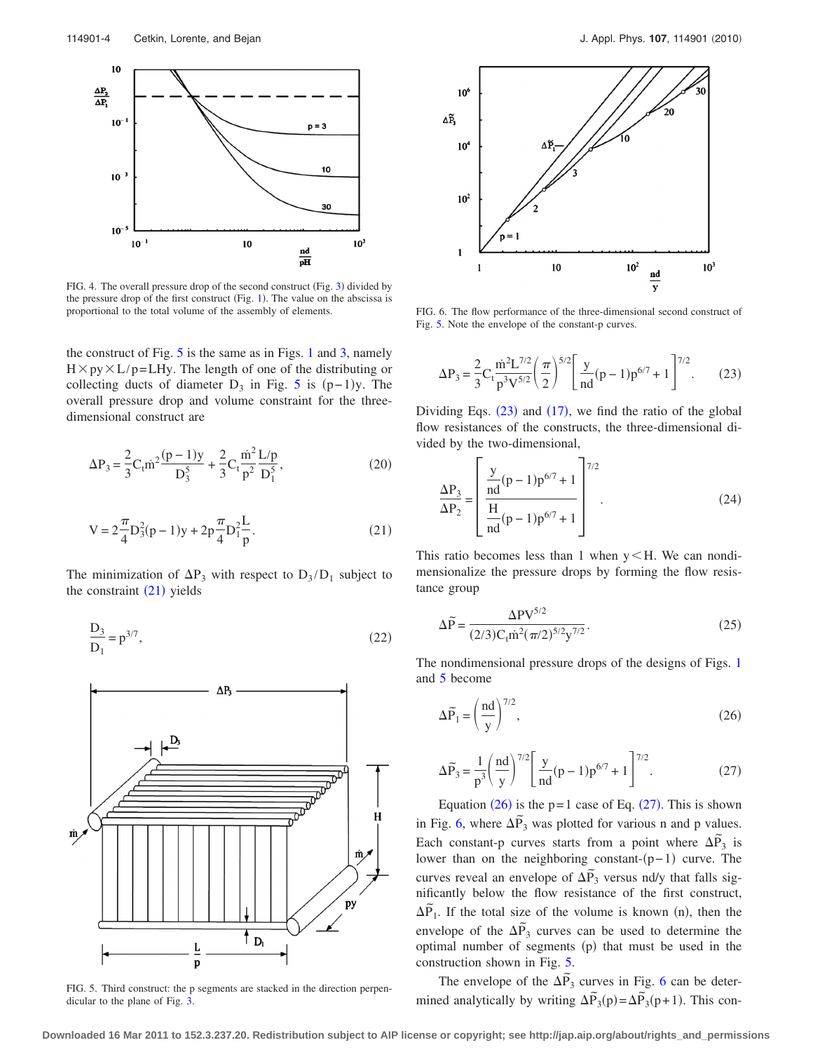<span id="page-3-0"></span>

FIG. 4. The overall pressure drop of the second construct (Fig. [3](#page-2-2)) divided by the pressure drop of the first construct (Fig. [1](#page-0-0)). The value on the abscissa is proportional to the total volume of the assembly of elements.

the construct of Fig.  $5$  is the same as in Figs. [1](#page-0-0) and [3,](#page-2-2) namely  $H \times py \times L/p = LHy$ . The length of one of the distributing or collecting ducts of diameter  $D_3$  in Fig. [5](#page-3-1) is  $(p-1)y$ . The overall pressure drop and volume constraint for the threedimensional construct are

$$
\Delta P_3 = \frac{2}{3} C_t m^2 \frac{(p-1)y}{D_3^5} + \frac{2}{3} C_t \frac{m^2}{p^2} \frac{L/p}{D_1^5},
$$
\n(20)

<span id="page-3-2"></span>
$$
V = 2\frac{\pi}{4}D_3^2(p-1)y + 2p\frac{\pi}{4}D_1^2\frac{L}{p}.
$$
 (21)

The minimization of  $\Delta P_3$  with respect to  $D_3/D_1$  subject to the constraint  $(21)$  $(21)$  $(21)$  yields

$$
\frac{D_3}{D_1} = p^{3/7},\tag{22}
$$

<span id="page-3-1"></span>

FIG. 5. Third construct: the p segments are stacked in the direction perpendicular to the plane of Fig. [3.](#page-2-2)

<span id="page-3-6"></span>

FIG. 6. The flow performance of the three-dimensional second construct of Fig. [5.](#page-3-1) Note the envelope of the constant-p curves.

<span id="page-3-3"></span>
$$
\Delta P_3 = \frac{2}{3} C_t \frac{\dot{m}^2 L^{7/2}}{p^3 V^{5/2}} \left(\frac{\pi}{2}\right)^{5/2} \left[\frac{y}{nd}(p-1)p^{6/7} + 1\right]^{7/2}.
$$
 (23)

Dividing Eqs.  $(23)$  $(23)$  $(23)$  and  $(17)$  $(17)$  $(17)$ , we find the ratio of the global flow resistances of the constructs, the three-dimensional divided by the two-dimensional,

$$
\frac{\Delta P_3}{\Delta P_2} = \left[ \frac{\frac{y}{nd}(p-1)p^{6/7} + 1}{\frac{H}{nd}(p-1)p^{6/7} + 1} \right]^{7/2}.
$$
 (24)

This ratio becomes less than 1 when  $y \leq H$ . We can nondimensionalize the pressure drops by forming the flow resistance group

<span id="page-3-7"></span>
$$
\Delta \widetilde{P} = \frac{\Delta \text{PV}^{5/2}}{(2/3)C_{\text{t}} \dot{m}^2 (\pi/2)^{5/2} y^{7/2}}.
$$
 (25)

The nondimensional pressure drops of the designs of Figs. [1](#page-0-0) and [5](#page-3-1) become

<span id="page-3-4"></span>
$$
\Delta \widetilde{P}_1 = \left(\frac{nd}{y}\right)^{7/2},\tag{26}
$$

<span id="page-3-5"></span>
$$
\Delta \tilde{P}_3 = \frac{1}{p^3} \left( \frac{nd}{y} \right)^{7/2} \left[ \frac{y}{nd} (p-1) p^{6/7} + 1 \right]^{7/2}.
$$
 (27)

Equation  $(26)$  $(26)$  $(26)$  is the p=1 case of Eq.  $(27)$  $(27)$  $(27)$ . This is shown in Fig. [6,](#page-3-6) where  $\Delta \tilde{P}_3$  was plotted for various n and p values. Each constant-p curves starts from a point where  $\Delta \tilde{P}_3$  is lower than on the neighboring constant-(p−1) curve. The curves reveal an envelope of  $\Delta \tilde{P}_3$  versus nd/y that falls significantly below the flow resistance of the first construct,  $\Delta \tilde{P}_1$ . If the total size of the volume is known (n), then the envelope of the  $\Delta P_3$  curves can be used to determine the optimal number of segments (p) that must be used in the construction shown in Fig. [5.](#page-3-1)

The envelope of the  $\Delta \overline{P}_3$  curves in Fig. [6](#page-3-6) can be determined analytically by writing  $\Delta \tilde{P}_3(p) = \Delta \tilde{P}_3(p+1)$ . This con-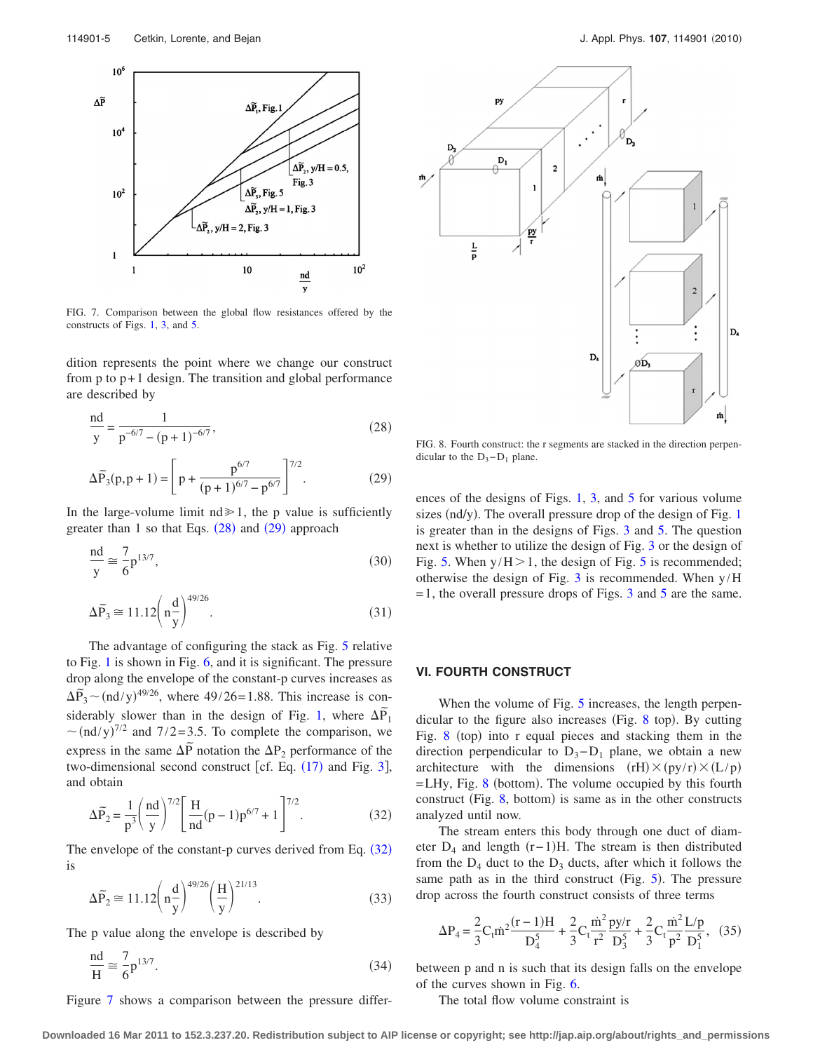<span id="page-4-3"></span>

FIG. 7. Comparison between the global flow resistances offered by the constructs of Figs. [1,](#page-0-0) [3,](#page-2-2) and [5.](#page-3-1)

dition represents the point where we change our construct from  $p$  to  $p+1$  design. The transition and global performance are described by

<span id="page-4-0"></span>
$$
\frac{nd}{y} = \frac{1}{p^{-6/7} - (p+1)^{-6/7}},
$$
\n(28)

<span id="page-4-1"></span>
$$
\Delta \widetilde{P}_3(p, p+1) = \left[ p + \frac{p^{6/7}}{(p+1)^{6/7} - p^{6/7}} \right]^{7/2}.
$$
 (29)

In the large-volume limit  $nd \geq 1$ , the p value is sufficiently greater than 1 so that Eqs.  $(28)$  $(28)$  $(28)$  and  $(29)$  $(29)$  $(29)$  approach

$$
\frac{nd}{y} \approx \frac{7}{6} p^{13/7},\tag{30}
$$

<span id="page-4-6"></span>
$$
\Delta \widetilde{P}_3 \cong 11.12 \left( n \frac{d}{y} \right)^{49/26}.
$$
\n(31)

The advantage of configuring the stack as Fig. [5](#page-3-1) relative to Fig. [1](#page-0-0) is shown in Fig. [6,](#page-3-6) and it is significant. The pressure drop along the envelope of the constant-p curves increases as  $\Delta \tilde{P}_3 \sim (\text{nd}/y)^{49/26}$ , where  $49/26 = 1.88$ . This increase is con-siderably slower than in the design of Fig. [1,](#page-0-0) where  $\Delta \overline{P}_1$  $\sim$  (nd/y)<sup>7/2</sup> and 7/2=3.5. To complete the comparison, we express in the same  $\Delta \bar{P}$  notation the  $\Delta P_2$  performance of the two-dimensional second construct [cf. Eq.  $(17)$  $(17)$  $(17)$  and Fig. [3](#page-2-2)], and obtain

<span id="page-4-2"></span>
$$
\Delta \widetilde{P}_2 = \frac{1}{p^3} \left( \frac{nd}{y} \right)^{7/2} \left[ \frac{H}{nd} (p-1) p^{6/7} + 1 \right]^{7/2}.
$$
 (32)

The envelope of the constant-p curves derived from Eq. ([32](#page-4-2)) is

$$
\Delta \widetilde{P}_2 \cong 11.12 \left( n \frac{d}{y} \right)^{49/26} \left( \frac{H}{y} \right)^{21/13}.
$$
 (33)

The p value along the envelope is described by

$$
\frac{nd}{H} \cong \frac{7}{6} p^{13/7}.
$$
\n(34)

Figure [7](#page-4-3) shows a comparison between the pressure differ-

<span id="page-4-4"></span>

FIG. 8. Fourth construct: the r segments are stacked in the direction perpendicular to the  $D_3-D_1$  plane.

ences of the designs of Figs. [1,](#page-0-0) [3,](#page-2-2) and [5](#page-3-1) for various volume sizes (nd/y). The overall pressure drop of the design of Fig. [1](#page-0-0) is greater than in the designs of Figs. [3](#page-2-2) and [5.](#page-3-1) The question next is whether to utilize the design of Fig. [3](#page-2-2) or the design of Fig. [5.](#page-3-1) When  $y/H > 1$ , the design of Fig. [5](#page-3-1) is recommended; otherwise the design of Fig.  $3$  is recommended. When  $y/H$  $= 1$ , the overall pressure drops of Figs. [3](#page-2-2) and [5](#page-3-1) are the same.

## **VI. FOURTH CONSTRUCT**

When the volume of Fig. [5](#page-3-1) increases, the length perpendicular to the figure also increases (Fig.  $8$  top). By cutting Fig.  $8$  (top) into r equal pieces and stacking them in the direction perpendicular to  $D_3-D_1$  plane, we obtain a new architecture with the dimensions  $(rH) \times (py/r) \times (L/p)$  $= LHy$ , Fig. [8](#page-4-4) (bottom). The volume occupied by this fourth construct (Fig.  $8$ , bottom) is same as in the other constructs analyzed until now.

The stream enters this body through one duct of diameter  $D_4$  and length  $(r-1)H$ . The stream is then distributed from the  $D_4$  duct to the  $D_3$  ducts, after which it follows the same path as in the third construct (Fig.  $5$ ). The pressure drop across the fourth construct consists of three terms

<span id="page-4-5"></span>
$$
\Delta P_4 = \frac{2}{3} C_t \dot{m}^2 \frac{(r-1)H}{D_4^5} + \frac{2}{3} C_t \frac{\dot{m}^2}{r^2} \frac{py/r}{D_3^5} + \frac{2}{3} C_t \frac{\dot{m}^2}{p^2} \frac{L/p}{D_1^5},
$$
 (35)

between p and n is such that its design falls on the envelope of the curves shown in Fig. [6.](#page-3-6)

The total flow volume constraint is

**Downloaded 16 Mar 2011 to 152.3.237.20. Redistribution subject to AIP license or copyright; see http://jap.aip.org/about/rights\_and\_permissions**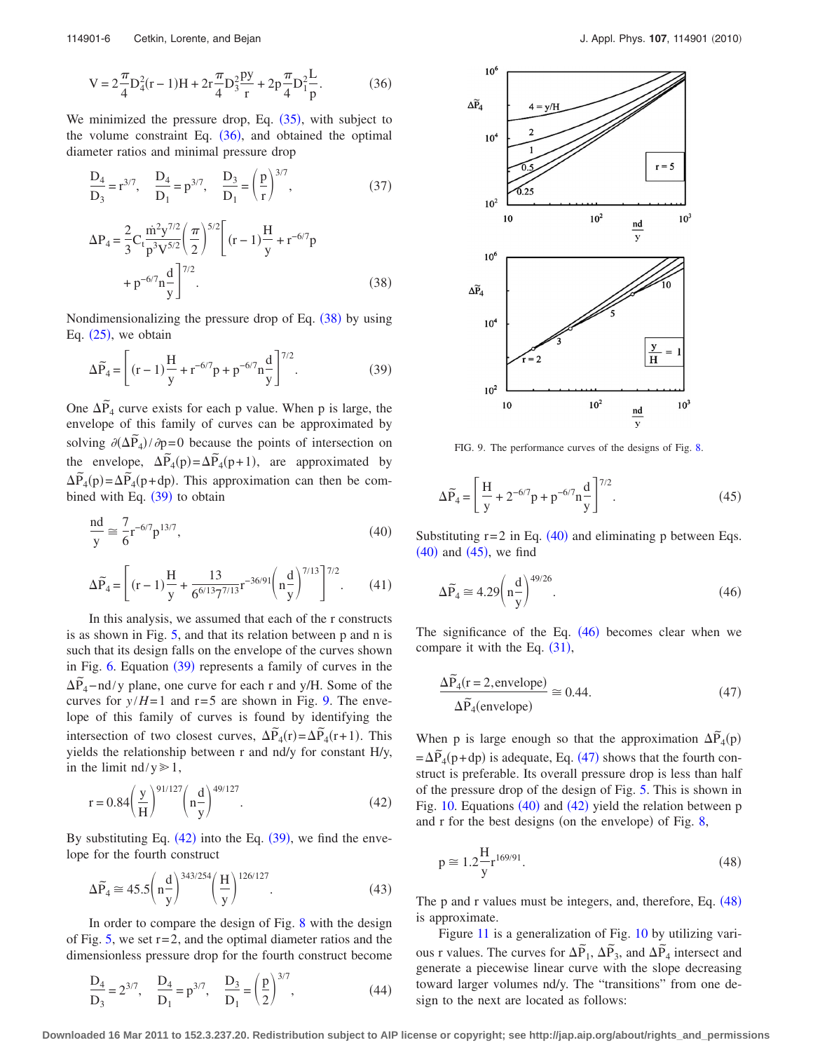<span id="page-5-0"></span>
$$
V = 2\frac{\pi}{4}D_4^2(r-1)H + 2r\frac{\pi}{4}D_3^2\frac{py}{r} + 2p\frac{\pi}{4}D_1^2\frac{L}{p}.
$$
 (36)

We minimized the pressure drop, Eq.  $(35)$  $(35)$  $(35)$ , with subject to the volume constraint Eq.  $(36)$  $(36)$  $(36)$ , and obtained the optimal diameter ratios and minimal pressure drop

$$
\frac{D_4}{D_3} = r^{3/7}, \quad \frac{D_4}{D_1} = p^{3/7}, \quad \frac{D_3}{D_1} = \left(\frac{p}{r}\right)^{3/7},
$$
(37)

<span id="page-5-1"></span>
$$
\Delta P_4 = \frac{2}{3} C_t \frac{\dot{m}^2 y^{7/2}}{p^3 V^{5/2}} \left(\frac{\pi}{2}\right)^{5/2} \left[ (r-1) \frac{H}{y} + r^{-6/7} p + p^{-6/7} n \frac{d}{y} \right]^{7/2}.
$$
\n(38)

Nondimensionalizing the pressure drop of Eq.  $(38)$  $(38)$  $(38)$  by using Eq.  $(25)$  $(25)$  $(25)$ , we obtain

<span id="page-5-2"></span>
$$
\Delta \widetilde{P}_4 = \left[ (r-1)\frac{H}{y} + r^{-6/7}p + p^{-6/7}n\frac{d}{y} \right]^{7/2}.
$$
 (39)

One  $\Delta \tilde{P}_4$  curve exists for each p value. When p is large, the envelope of this family of curves can be approximated by solving  $\partial(\Delta \tilde{P}_4)/\partial p=0$  because the points of intersection on the envelope,  $\Delta \tilde{P}_4(p) = \Delta \tilde{P}_4(p+1)$ , are approximated by  $\Delta \tilde{P}_4(p) = \Delta \tilde{P}_4(p+dp)$ . This approximation can then be combined with Eq.  $(39)$  $(39)$  $(39)$  to obtain

<span id="page-5-5"></span>
$$
\frac{nd}{y} \approx \frac{7}{6} r^{-6/7} p^{13/7},\tag{40}
$$

$$
\Delta \widetilde{P}_4 = \left[ (r-1)\frac{H}{y} + \frac{13}{6^{6/13}7^{7/13}} r^{-36/91} \left( n\frac{d}{y} \right)^{7/13} \right]^{7/2}.
$$
 (41)

In this analysis, we assumed that each of the r constructs is as shown in Fig. [5,](#page-3-1) and that its relation between p and n is such that its design falls on the envelope of the curves shown in Fig. [6.](#page-3-6) Equation ([39](#page-5-2)) represents a family of curves in the  $\Delta \tilde{P}_4$  – nd/y plane, one curve for each r and y/H. Some of the curves for  $y/H = 1$  and  $r = 5$  are shown in Fig. [9.](#page-5-3) The envelope of this family of curves is found by identifying the intersection of two closest curves,  $\Delta \tilde{P}_4(r) = \Delta \tilde{P}_4(r+1)$ . This yields the relationship between r and nd/y for constant H/y, in the limit  $\text{nd}/\text{y} \geq 1$ ,

<span id="page-5-4"></span>
$$
r = 0.84 \left(\frac{y}{H}\right)^{91/127} \left(n\frac{d}{y}\right)^{49/127}.
$$
 (42)

By substituting Eq.  $(42)$  $(42)$  $(42)$  into the Eq.  $(39)$  $(39)$  $(39)$ , we find the envelope for the fourth construct

$$
\Delta \widetilde{P}_4 \cong 45.5 \left( n \frac{d}{y} \right)^{343/254} \left( \frac{H}{y} \right)^{126/127}.
$$
 (43)

In order to compare the design of Fig. [8](#page-4-4) with the design of Fig. [5,](#page-3-1) we set  $r=2$ , and the optimal diameter ratios and the dimensionless pressure drop for the fourth construct become

<span id="page-5-3"></span>

FIG. 9. The performance curves of the designs of Fig. [8.](#page-4-4)

<span id="page-5-6"></span>
$$
\Delta \widetilde{P}_4 = \left[ \frac{H}{y} + 2^{-6/7} p + p^{-6/7} n \frac{d}{y} \right]^{7/2}.
$$
 (45)

Substituting  $r = 2$  in Eq. ([40](#page-5-5)) and eliminating p between Eqs.  $(40)$  $(40)$  $(40)$  and  $(45)$  $(45)$  $(45)$ , we find

<span id="page-5-7"></span>
$$
\Delta \widetilde{P}_4 \cong 4.29 \left( n \frac{d}{y} \right)^{49/26}.
$$
\n(46)

The significance of the Eq.  $(46)$  $(46)$  $(46)$  becomes clear when we compare it with the Eq.  $(31)$  $(31)$  $(31)$ ,

<span id="page-5-8"></span>
$$
\frac{\Delta \widetilde{P}_4(r=2, \text{envelope})}{\Delta \widetilde{P}_4(\text{envelope})} \cong 0.44. \tag{47}
$$

When p is large enough so that the approximation  $\Delta \tilde{P}_4(p)$  $= \Delta \tilde{P}_4(p+dp)$  is adequate, Eq. ([47](#page-5-8)) shows that the fourth construct is preferable. Its overall pressure drop is less than half of the pressure drop of the design of Fig. [5.](#page-3-1) This is shown in Fig.  $10$ . Equations  $(40)$  $(40)$  $(40)$  and  $(42)$  $(42)$  $(42)$  yield the relation between p and  $r$  for the best designs (on the envelope) of Fig.  $8$ ,

<span id="page-5-9"></span>
$$
p \approx 1.2 \frac{H}{y} r^{169/91}.
$$
 (48)

The p and r values must be integers, and, therefore, Eq. ([48](#page-5-9)) is approximate.

Figure [11](#page-6-1) is a generalization of Fig. [10](#page-6-0) by utilizing various r values. The curves for  $\Delta \tilde{P}_1$ ,  $\Delta \tilde{P}_3$ , and  $\Delta \tilde{P}_4$  intersect and generate a piecewise linear curve with the slope decreasing toward larger volumes nd/y. The "transitions" from one design to the next are located as follows: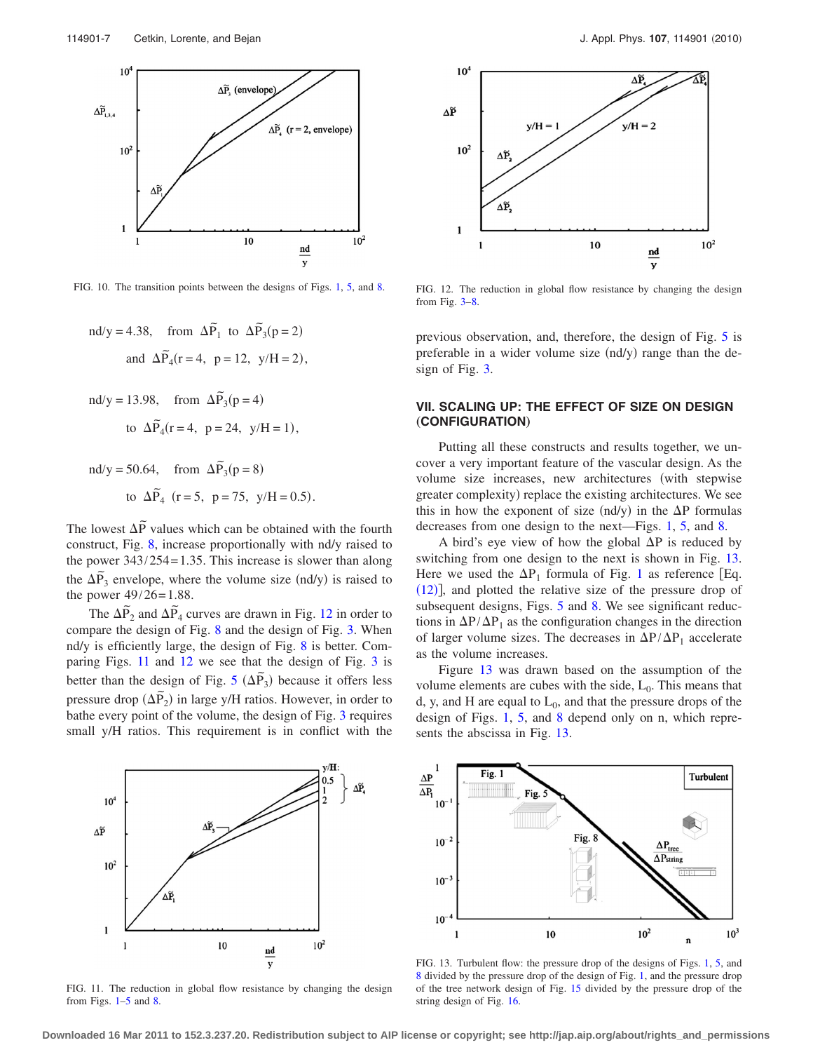<span id="page-6-0"></span>

FIG. 10. The transition points between the designs of Figs. [1,](#page-0-0) [5,](#page-3-1) and [8.](#page-4-4)

$$
nd/y = 4.38, \text{ from } \Delta \widetilde{P}_1 \text{ to } \Delta \widetilde{P}_3(p = 2)
$$
  
and 
$$
\Delta \widetilde{P}_4(r = 4, p = 12, y/H = 2),
$$

$$
nd/y = 13.98, \quad \text{from } \Delta \widetilde{P}_3(p=4)
$$
  
to 
$$
\Delta \widetilde{P}_4(r=4, p=24, y/H=1)
$$

nd/y = 50.64, from 
$$
\Delta \tilde{P}_3(p = 8)
$$
  
to  $\Delta \tilde{P}_4$  (r = 5, p = 75, y/H = 0.5).

The lowest  $\Delta \tilde{P}$  values which can be obtained with the fourth construct, Fig. [8,](#page-4-4) increase proportionally with nd/y raised to the power 343/254= 1.35. This increase is slower than along the  $\Delta \tilde{P}_3$  envelope, where the volume size (nd/y) is raised to the power  $49/26 = 1.88$ .

,

The  $\Delta \tilde{P}_2$  and  $\Delta \tilde{P}_4$  curves are drawn in Fig. [12](#page-6-2) in order to compare the design of Fig. [8](#page-4-4) and the design of Fig. [3.](#page-2-2) When nd/y is efficiently large, the design of Fig. [8](#page-4-4) is better. Comparing Figs. [11](#page-6-1) and [12](#page-6-2) we see that the design of Fig. [3](#page-2-2) is better than the design of Fig.  $5(\Delta \tilde{P}_3)$  $5(\Delta \tilde{P}_3)$  because it offers less pressure drop  $(\Delta \tilde{P}_2)$  in large y/H ratios. However, in order to bathe every point of the volume, the design of Fig. [3](#page-2-2) requires small y/H ratios. This requirement is in conflict with the

<span id="page-6-1"></span>

FIG. 11. The reduction in global flow resistance by changing the design from Figs. [1–](#page-0-0)[5](#page-3-1) and [8.](#page-4-4)

<span id="page-6-2"></span>

FIG. 12. The reduction in global flow resistance by changing the design from Fig. [3–](#page-2-2)[8.](#page-4-4)

previous observation, and, therefore, the design of Fig. [5](#page-3-1) is preferable in a wider volume size (nd/y) range than the design of Fig. [3.](#page-2-2)

## **VII. SCALING UP: THE EFFECT OF SIZE ON DESIGN**  $(CONFIGURATION)$

Putting all these constructs and results together, we uncover a very important feature of the vascular design. As the volume size increases, new architectures (with stepwise greater complexity) replace the existing architectures. We see this in how the exponent of size (nd/y) in the  $\Delta P$  formulas decreases from one design to the next—Figs. [1,](#page-0-0) [5,](#page-3-1) and [8.](#page-4-4)

A bird's eye view of how the global  $\Delta P$  is reduced by switching from one design to the next is shown in Fig. [13.](#page-6-3) Here we used the  $\Delta P_1$  $\Delta P_1$  formula of Fig. 1 as reference [Eq.  $(12)$  $(12)$  $(12)$ ], and plotted the relative size of the pressure drop of subsequent designs, Figs. [5](#page-3-1) and [8.](#page-4-4) We see significant reductions in  $\Delta P/\Delta P_1$  as the configuration changes in the direction of larger volume sizes. The decreases in  $\Delta P/\Delta P_1$  accelerate as the volume increases.

Figure [13](#page-6-3) was drawn based on the assumption of the volume elements are cubes with the side,  $L_0$ . This means that d, y, and H are equal to  $L_0$ , and that the pressure drops of the design of Figs. [1,](#page-0-0) [5,](#page-3-1) and [8](#page-4-4) depend only on n, which represents the abscissa in Fig. [13.](#page-6-3)

<span id="page-6-3"></span>

FIG. 13. Turbulent flow: the pressure drop of the designs of Figs. [1,](#page-0-0) [5,](#page-3-1) and [8](#page-4-4) divided by the pressure drop of the design of Fig. [1,](#page-0-0) and the pressure drop of the tree network design of Fig. [15](#page-7-0) divided by the pressure drop of the string design of Fig. [16.](#page-7-1)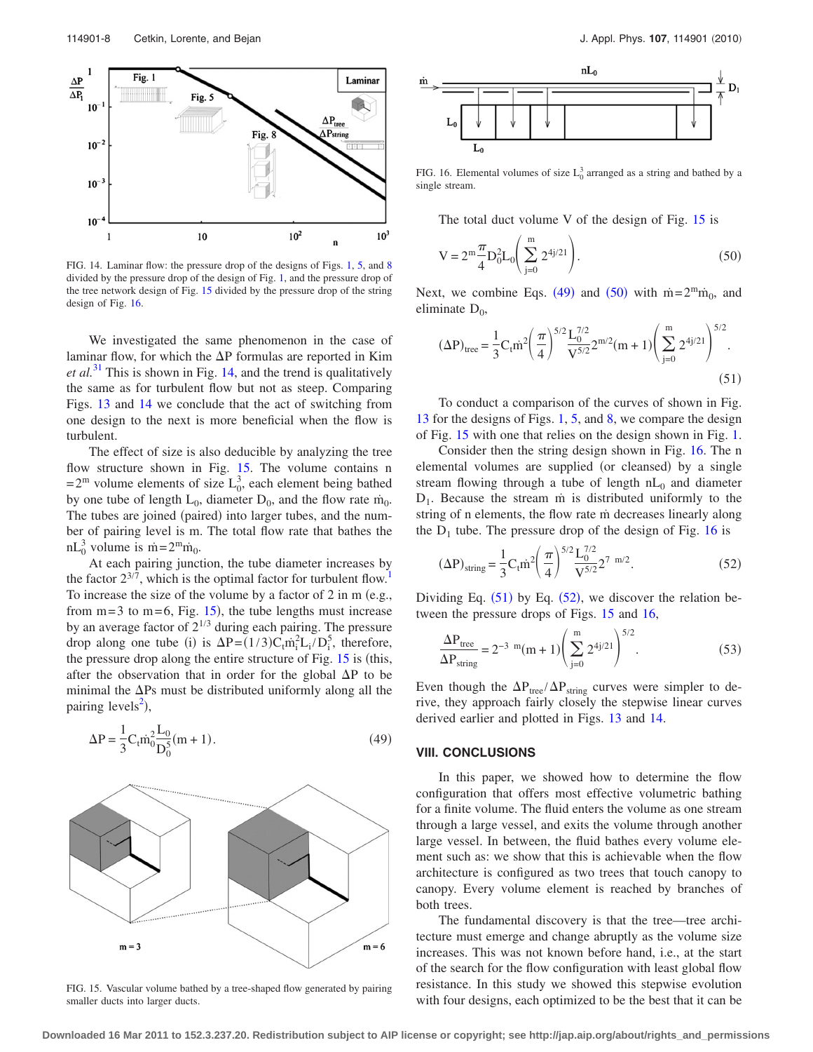<span id="page-7-2"></span>

FIG. 14. Laminar flow: the pressure drop of the designs of Figs. [1,](#page-0-0) [5,](#page-3-1) and [8](#page-4-4) divided by the pressure drop of the design of Fig. [1,](#page-0-0) and the pressure drop of the tree network design of Fig. [15](#page-7-0) divided by the pressure drop of the string design of Fig. [16.](#page-7-1)

We investigated the same phenomenon in the case of laminar flow, for which the  $\Delta P$  formulas are reported in Kim *et al.*[31](#page-8-2) This is shown in Fig. [14,](#page-7-2) and the trend is qualitatively the same as for turbulent flow but not as steep. Comparing Figs. [13](#page-6-3) and [14](#page-7-2) we conclude that the act of switching from one design to the next is more beneficial when the flow is turbulent.

The effect of size is also deducible by analyzing the tree flow structure shown in Fig. [15.](#page-7-0) The volume contains n  $= 2^{\text{m}}$  volume elements of size  $L_0^3$ , each element being bathed by one tube of length  $L_0$ , diameter  $D_0$ , and the flow rate m<sup> $<sub>0</sub>$ </sup>.</sup></sub> The tubes are joined (paired) into larger tubes, and the number of pairing level is m. The total flow rate that bathes the  $nL_0^3$  volume is  $\dot{m} = 2^m \dot{m}_0$ .

At each pairing junction, the tube diameter increases by the factor  $2^{3/7}$ , which is the optimal factor for turbulent flow.<sup>1</sup> To increase the size of the volume by a factor of  $2$  in m (e.g., from  $m=3$  to  $m=6$ , Fig. [15](#page-7-0)), the tube lengths must increase by an average factor of  $2^{1/3}$  during each pairing. The pressure drop along one tube (i) is  $\Delta P = (1/3)C_t m_i^2 L_i / D_i^5$ , therefore, the pressure drop along the entire structure of Fig.  $15$  is (this, after the observation that in order for the global  $\Delta P$  to be minimal the  $\Delta Ps$  must be distributed uniformly along all the pairing levels<sup>2</sup>),

<span id="page-7-3"></span>
$$
\Delta P = \frac{1}{3} C_t \dot{m}_0^2 \frac{L_0}{D_0^5} (m+1).
$$
 (49)

<span id="page-7-0"></span>

FIG. 15. Vascular volume bathed by a tree-shaped flow generated by pairing smaller ducts into larger ducts.

<span id="page-7-1"></span>

FIG. 16. Elemental volumes of size  $L_0^3$  arranged as a string and bathed by a single stream.

The total duct volume V of the design of Fig. [15](#page-7-0) is

<span id="page-7-4"></span>
$$
V = 2^{m} \frac{\pi}{4} D_0^2 L_0 \left( \sum_{j=0}^{m} 2^{4j/21} \right).
$$
 (50)

Next, we combine Eqs. ([49](#page-7-3)) and ([50](#page-7-4)) with  $\dot{m} = 2^m \dot{m}_0$ , and eliminate  $D_0$ ,

<span id="page-7-5"></span>
$$
(\Delta P)_{\text{tree}} = \frac{1}{3} C_{\text{t}} m^2 \left(\frac{\pi}{4}\right)^{5/2} \frac{L_0^{7/2}}{V^{5/2}} 2^{m/2} (m+1) \left(\sum_{j=0}^m 2^{4j/21}\right)^{5/2}.
$$
\n(51)

To conduct a comparison of the curves of shown in Fig. [13](#page-6-3) for the designs of Figs. [1,](#page-0-0) [5,](#page-3-1) and [8,](#page-4-4) we compare the design of Fig. [15](#page-7-0) with one that relies on the design shown in Fig. [1.](#page-0-0)

Consider then the string design shown in Fig. [16.](#page-7-1) The n elemental volumes are supplied (or cleansed) by a single stream flowing through a tube of length  $nL_0$  and diameter D<sub>1</sub>. Because the stream m<sup>i</sup> is distributed uniformly to the string of n elements, the flow rate m*˙* decreases linearly along the  $D_1$  tube. The pressure drop of the design of Fig. [16](#page-7-1) is

<span id="page-7-6"></span>
$$
(\Delta P)_{\text{string}} = \frac{1}{3} C_t \dot{m}^2 \left(\frac{\pi}{4}\right)^{5/2} \frac{L_0^{7/2}}{V^{5/2}} 2^{7} \, \text{m/2}.
$$

Dividing Eq.  $(51)$  $(51)$  $(51)$  by Eq.  $(52)$  $(52)$  $(52)$ , we discover the relation between the pressure drops of Figs. [15](#page-7-0) and [16,](#page-7-1)

$$
\frac{\Delta P_{\text{tree}}}{\Delta P_{\text{string}}} = 2^{-3} \, \text{m}(\text{m} + 1) \Bigg( \sum_{j=0}^{\text{m}} 2^{4j/21} \Bigg)^{5/2} . \tag{53}
$$

Even though the  $\Delta P_{\text{tree}}/\Delta P_{\text{string}}$  curves were simpler to derive, they approach fairly closely the stepwise linear curves derived earlier and plotted in Figs. [13](#page-6-3) and [14.](#page-7-2)

## **VIII. CONCLUSIONS**

In this paper, we showed how to determine the flow configuration that offers most effective volumetric bathing for a finite volume. The fluid enters the volume as one stream through a large vessel, and exits the volume through another large vessel. In between, the fluid bathes every volume element such as: we show that this is achievable when the flow architecture is configured as two trees that touch canopy to canopy. Every volume element is reached by branches of both trees.

The fundamental discovery is that the tree—tree architecture must emerge and change abruptly as the volume size increases. This was not known before hand, i.e., at the start of the search for the flow configuration with least global flow resistance. In this study we showed this stepwise evolution with four designs, each optimized to be the best that it can be